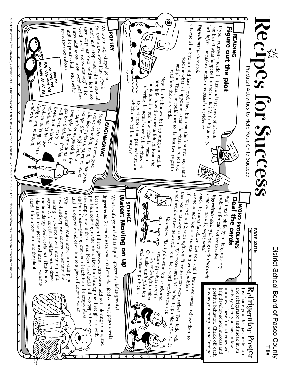

© 2016 Resources for Educators, a division of CCH Incorporated • 128 N. Royal Avenue • Front Royal, VA 22630 • 540-636-4280 • recustomer@wolterskluwer.com • www.rfeonline.com © 2016 Resources for Educators, a division of CCH Incorporated • 128 N. Royal Avenue • Front Royal, VA 22630 • 540-636-4280 • rfecustomer@wolterskluwer.com • www.rfeonline.com